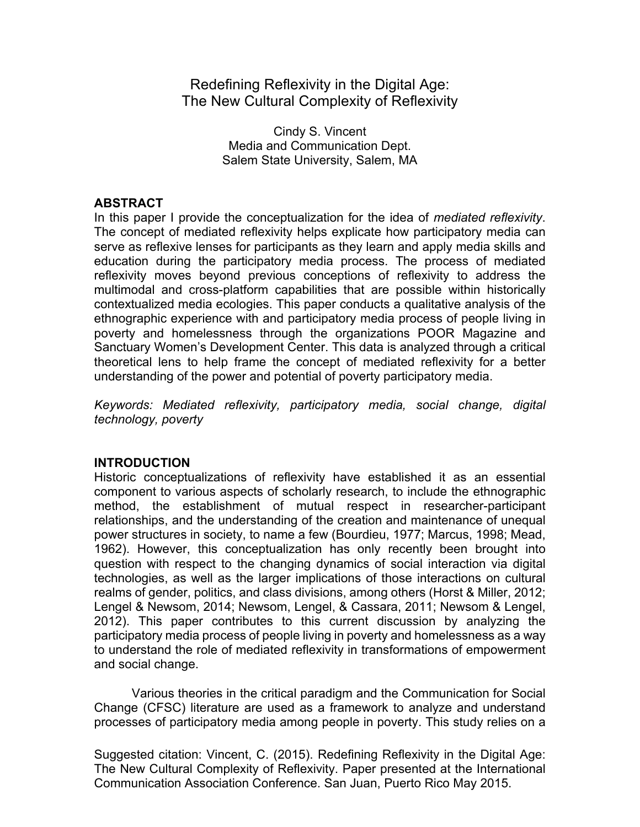Redefining Reflexivity in the Digital Age: The New Cultural Complexity of Reflexivity

> Cindy S. Vincent Media and Communication Dept. Salem State University, Salem, MA

## **ABSTRACT**

In this paper I provide the conceptualization for the idea of *mediated reflexivity*. The concept of mediated reflexivity helps explicate how participatory media can serve as reflexive lenses for participants as they learn and apply media skills and education during the participatory media process. The process of mediated reflexivity moves beyond previous conceptions of reflexivity to address the multimodal and cross-platform capabilities that are possible within historically contextualized media ecologies. This paper conducts a qualitative analysis of the ethnographic experience with and participatory media process of people living in poverty and homelessness through the organizations POOR Magazine and Sanctuary Women's Development Center. This data is analyzed through a critical theoretical lens to help frame the concept of mediated reflexivity for a better understanding of the power and potential of poverty participatory media.

*Keywords: Mediated reflexivity, participatory media, social change, digital technology, poverty*

# **INTRODUCTION**

Historic conceptualizations of reflexivity have established it as an essential component to various aspects of scholarly research, to include the ethnographic method, the establishment of mutual respect in researcher-participant relationships, and the understanding of the creation and maintenance of unequal power structures in society, to name a few (Bourdieu, 1977; Marcus, 1998; Mead, 1962). However, this conceptualization has only recently been brought into question with respect to the changing dynamics of social interaction via digital technologies, as well as the larger implications of those interactions on cultural realms of gender, politics, and class divisions, among others (Horst & Miller, 2012; Lengel & Newsom, 2014; Newsom, Lengel, & Cassara, 2011; Newsom & Lengel, 2012). This paper contributes to this current discussion by analyzing the participatory media process of people living in poverty and homelessness as a way to understand the role of mediated reflexivity in transformations of empowerment and social change.

Various theories in the critical paradigm and the Communication for Social Change (CFSC) literature are used as a framework to analyze and understand processes of participatory media among people in poverty. This study relies on a

Suggested citation: Vincent, C. (2015). Redefining Reflexivity in the Digital Age: The New Cultural Complexity of Reflexivity. Paper presented at the International Communication Association Conference. San Juan, Puerto Rico May 2015.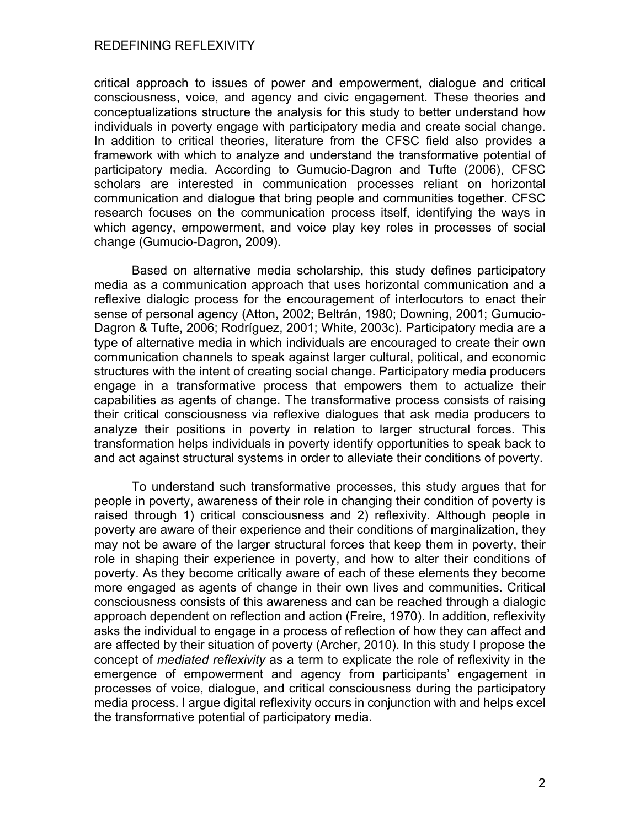critical approach to issues of power and empowerment, dialogue and critical consciousness, voice, and agency and civic engagement. These theories and conceptualizations structure the analysis for this study to better understand how individuals in poverty engage with participatory media and create social change. In addition to critical theories, literature from the CFSC field also provides a framework with which to analyze and understand the transformative potential of participatory media. According to Gumucio-Dagron and Tufte (2006), CFSC scholars are interested in communication processes reliant on horizontal communication and dialogue that bring people and communities together. CFSC research focuses on the communication process itself, identifying the ways in which agency, empowerment, and voice play key roles in processes of social change (Gumucio-Dagron, 2009).

Based on alternative media scholarship, this study defines participatory media as a communication approach that uses horizontal communication and a reflexive dialogic process for the encouragement of interlocutors to enact their sense of personal agency (Atton, 2002; Beltrán, 1980; Downing, 2001; Gumucio-Dagron & Tufte, 2006; Rodríguez, 2001; White, 2003c). Participatory media are a type of alternative media in which individuals are encouraged to create their own communication channels to speak against larger cultural, political, and economic structures with the intent of creating social change. Participatory media producers engage in a transformative process that empowers them to actualize their capabilities as agents of change. The transformative process consists of raising their critical consciousness via reflexive dialogues that ask media producers to analyze their positions in poverty in relation to larger structural forces. This transformation helps individuals in poverty identify opportunities to speak back to and act against structural systems in order to alleviate their conditions of poverty.

To understand such transformative processes, this study argues that for people in poverty, awareness of their role in changing their condition of poverty is raised through 1) critical consciousness and 2) reflexivity. Although people in poverty are aware of their experience and their conditions of marginalization, they may not be aware of the larger structural forces that keep them in poverty, their role in shaping their experience in poverty, and how to alter their conditions of poverty. As they become critically aware of each of these elements they become more engaged as agents of change in their own lives and communities. Critical consciousness consists of this awareness and can be reached through a dialogic approach dependent on reflection and action (Freire, 1970). In addition, reflexivity asks the individual to engage in a process of reflection of how they can affect and are affected by their situation of poverty (Archer, 2010). In this study I propose the concept of *mediated reflexivity* as a term to explicate the role of reflexivity in the emergence of empowerment and agency from participants' engagement in processes of voice, dialogue, and critical consciousness during the participatory media process. I argue digital reflexivity occurs in conjunction with and helps excel the transformative potential of participatory media.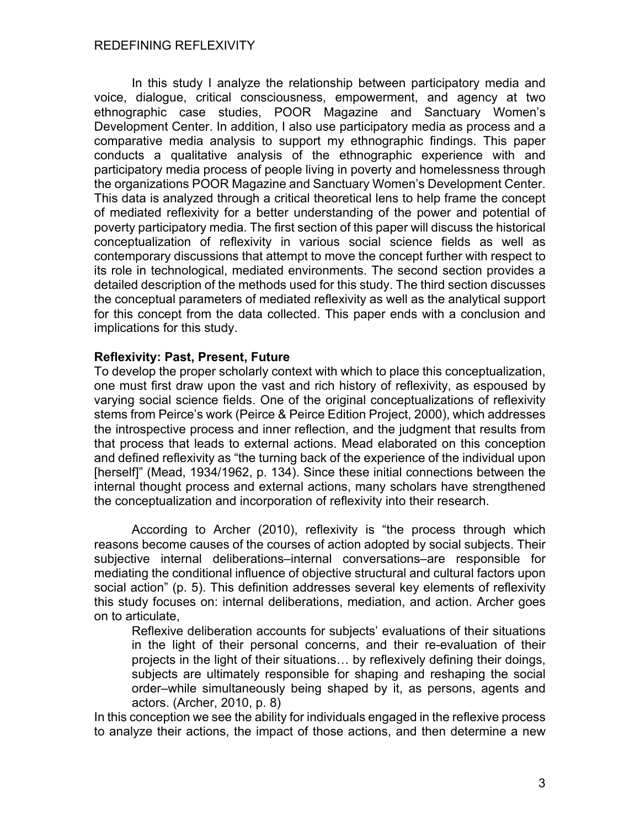In this study I analyze the relationship between participatory media and voice, dialogue, critical consciousness, empowerment, and agency at two ethnographic case studies, POOR Magazine and Sanctuary Women's Development Center. In addition, I also use participatory media as process and a comparative media analysis to support my ethnographic findings. This paper conducts a qualitative analysis of the ethnographic experience with and participatory media process of people living in poverty and homelessness through the organizations POOR Magazine and Sanctuary Women's Development Center. This data is analyzed through a critical theoretical lens to help frame the concept of mediated reflexivity for a better understanding of the power and potential of poverty participatory media. The first section of this paper will discuss the historical conceptualization of reflexivity in various social science fields as well as contemporary discussions that attempt to move the concept further with respect to its role in technological, mediated environments. The second section provides a detailed description of the methods used for this study. The third section discusses the conceptual parameters of mediated reflexivity as well as the analytical support for this concept from the data collected. This paper ends with a conclusion and implications for this study.

## **Reflexivity: Past, Present, Future**

To develop the proper scholarly context with which to place this conceptualization, one must first draw upon the vast and rich history of reflexivity, as espoused by varying social science fields. One of the original conceptualizations of reflexivity stems from Peirce's work (Peirce & Peirce Edition Project, 2000), which addresses the introspective process and inner reflection, and the judgment that results from that process that leads to external actions. Mead elaborated on this conception and defined reflexivity as "the turning back of the experience of the individual upon [herself]" (Mead, 1934/1962, p. 134). Since these initial connections between the internal thought process and external actions, many scholars have strengthened the conceptualization and incorporation of reflexivity into their research.

According to Archer (2010), reflexivity is "the process through which reasons become causes of the courses of action adopted by social subjects. Their subjective internal deliberations–internal conversations–are responsible for mediating the conditional influence of objective structural and cultural factors upon social action" (p. 5). This definition addresses several key elements of reflexivity this study focuses on: internal deliberations, mediation, and action. Archer goes on to articulate,

Reflexive deliberation accounts for subjects' evaluations of their situations in the light of their personal concerns, and their re-evaluation of their projects in the light of their situations… by reflexively defining their doings, subjects are ultimately responsible for shaping and reshaping the social order–while simultaneously being shaped by it, as persons, agents and actors. (Archer, 2010, p. 8)

In this conception we see the ability for individuals engaged in the reflexive process to analyze their actions, the impact of those actions, and then determine a new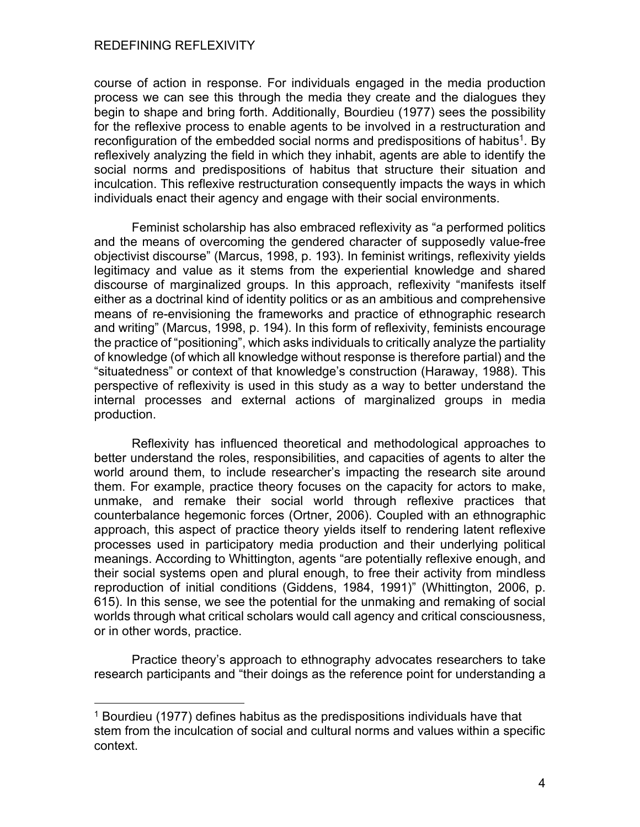course of action in response. For individuals engaged in the media production process we can see this through the media they create and the dialogues they begin to shape and bring forth. Additionally, Bourdieu (1977) sees the possibility for the reflexive process to enable agents to be involved in a restructuration and reconfiguration of the embedded social norms and predispositions of habitus<sup>1</sup>. By reflexively analyzing the field in which they inhabit, agents are able to identify the social norms and predispositions of habitus that structure their situation and inculcation. This reflexive restructuration consequently impacts the ways in which individuals enact their agency and engage with their social environments.

Feminist scholarship has also embraced reflexivity as "a performed politics and the means of overcoming the gendered character of supposedly value-free objectivist discourse" (Marcus, 1998, p. 193). In feminist writings, reflexivity yields legitimacy and value as it stems from the experiential knowledge and shared discourse of marginalized groups. In this approach, reflexivity "manifests itself either as a doctrinal kind of identity politics or as an ambitious and comprehensive means of re-envisioning the frameworks and practice of ethnographic research and writing" (Marcus, 1998, p. 194). In this form of reflexivity, feminists encourage the practice of "positioning", which asks individuals to critically analyze the partiality of knowledge (of which all knowledge without response is therefore partial) and the "situatedness" or context of that knowledge's construction (Haraway, 1988). This perspective of reflexivity is used in this study as a way to better understand the internal processes and external actions of marginalized groups in media production.

Reflexivity has influenced theoretical and methodological approaches to better understand the roles, responsibilities, and capacities of agents to alter the world around them, to include researcher's impacting the research site around them. For example, practice theory focuses on the capacity for actors to make, unmake, and remake their social world through reflexive practices that counterbalance hegemonic forces (Ortner, 2006). Coupled with an ethnographic approach, this aspect of practice theory yields itself to rendering latent reflexive processes used in participatory media production and their underlying political meanings. According to Whittington, agents "are potentially reflexive enough, and their social systems open and plural enough, to free their activity from mindless reproduction of initial conditions (Giddens, 1984, 1991)" (Whittington, 2006, p. 615). In this sense, we see the potential for the unmaking and remaking of social worlds through what critical scholars would call agency and critical consciousness, or in other words, practice.

Practice theory's approach to ethnography advocates researchers to take research participants and "their doings as the reference point for understanding a

<sup>1</sup> Bourdieu (1977) defines habitus as the predispositions individuals have that stem from the inculcation of social and cultural norms and values within a specific context.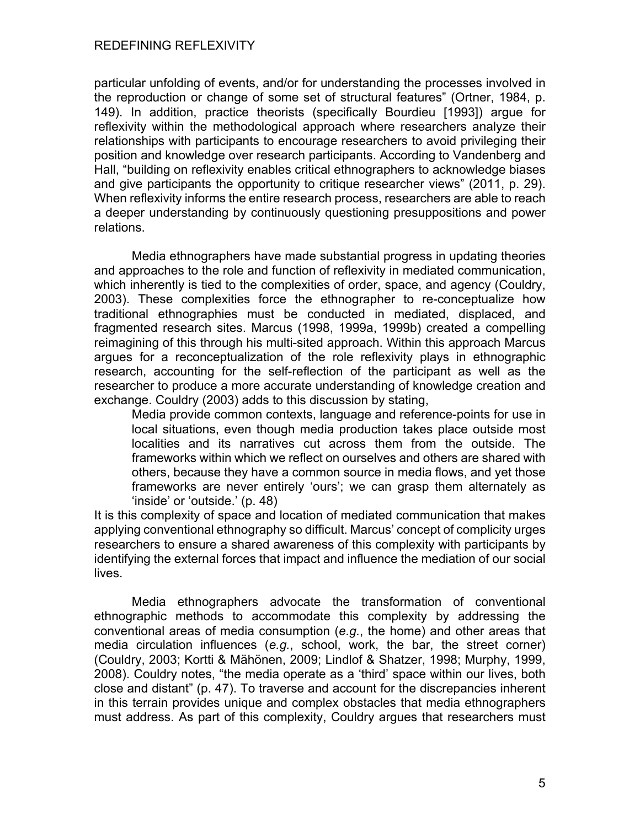particular unfolding of events, and/or for understanding the processes involved in the reproduction or change of some set of structural features" (Ortner, 1984, p. 149). In addition, practice theorists (specifically Bourdieu [1993]) argue for reflexivity within the methodological approach where researchers analyze their relationships with participants to encourage researchers to avoid privileging their position and knowledge over research participants. According to Vandenberg and Hall, "building on reflexivity enables critical ethnographers to acknowledge biases and give participants the opportunity to critique researcher views" (2011, p. 29). When reflexivity informs the entire research process, researchers are able to reach a deeper understanding by continuously questioning presuppositions and power relations.

Media ethnographers have made substantial progress in updating theories and approaches to the role and function of reflexivity in mediated communication, which inherently is tied to the complexities of order, space, and agency (Couldry, 2003). These complexities force the ethnographer to re-conceptualize how traditional ethnographies must be conducted in mediated, displaced, and fragmented research sites. Marcus (1998, 1999a, 1999b) created a compelling reimagining of this through his multi-sited approach. Within this approach Marcus argues for a reconceptualization of the role reflexivity plays in ethnographic research, accounting for the self-reflection of the participant as well as the researcher to produce a more accurate understanding of knowledge creation and exchange. Couldry (2003) adds to this discussion by stating,

Media provide common contexts, language and reference-points for use in local situations, even though media production takes place outside most localities and its narratives cut across them from the outside. The frameworks within which we reflect on ourselves and others are shared with others, because they have a common source in media flows, and yet those frameworks are never entirely 'ours'; we can grasp them alternately as 'inside' or 'outside.' (p. 48)

It is this complexity of space and location of mediated communication that makes applying conventional ethnography so difficult. Marcus' concept of complicity urges researchers to ensure a shared awareness of this complexity with participants by identifying the external forces that impact and influence the mediation of our social lives.

Media ethnographers advocate the transformation of conventional ethnographic methods to accommodate this complexity by addressing the conventional areas of media consumption (*e.g.*, the home) and other areas that media circulation influences (*e.g.*, school, work, the bar, the street corner) (Couldry, 2003; Kortti & Mähönen, 2009; Lindlof & Shatzer, 1998; Murphy, 1999, 2008). Couldry notes, "the media operate as a 'third' space within our lives, both close and distant" (p. 47). To traverse and account for the discrepancies inherent in this terrain provides unique and complex obstacles that media ethnographers must address. As part of this complexity, Couldry argues that researchers must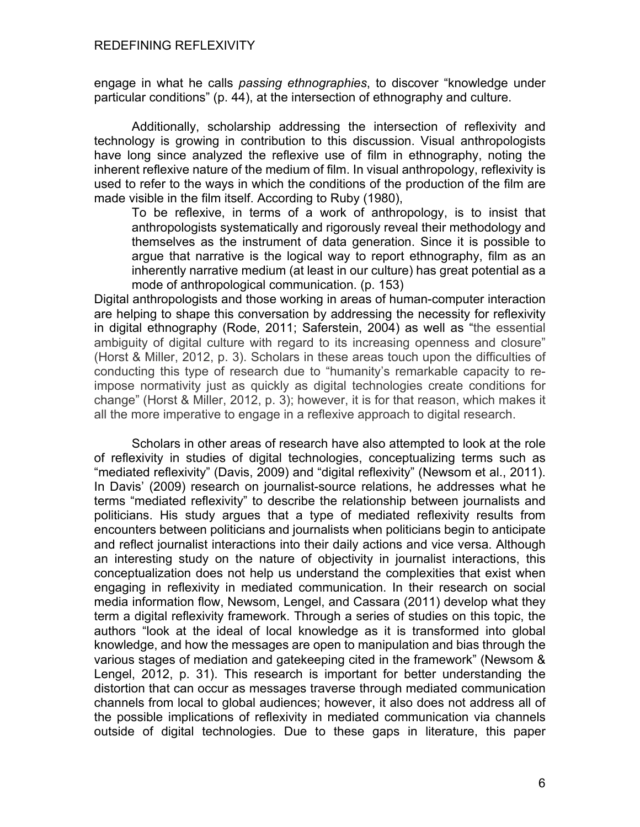engage in what he calls *passing ethnographies*, to discover "knowledge under particular conditions" (p. 44), at the intersection of ethnography and culture.

Additionally, scholarship addressing the intersection of reflexivity and technology is growing in contribution to this discussion. Visual anthropologists have long since analyzed the reflexive use of film in ethnography, noting the inherent reflexive nature of the medium of film. In visual anthropology, reflexivity is used to refer to the ways in which the conditions of the production of the film are made visible in the film itself. According to Ruby (1980),

To be reflexive, in terms of a work of anthropology, is to insist that anthropologists systematically and rigorously reveal their methodology and themselves as the instrument of data generation. Since it is possible to argue that narrative is the logical way to report ethnography, film as an inherently narrative medium (at least in our culture) has great potential as a mode of anthropological communication. (p. 153)

Digital anthropologists and those working in areas of human-computer interaction are helping to shape this conversation by addressing the necessity for reflexivity in digital ethnography (Rode, 2011; Saferstein, 2004) as well as "the essential ambiguity of digital culture with regard to its increasing openness and closure" (Horst & Miller, 2012, p. 3). Scholars in these areas touch upon the difficulties of conducting this type of research due to "humanity's remarkable capacity to reimpose normativity just as quickly as digital technologies create conditions for change" (Horst & Miller, 2012, p. 3); however, it is for that reason, which makes it all the more imperative to engage in a reflexive approach to digital research.

Scholars in other areas of research have also attempted to look at the role of reflexivity in studies of digital technologies, conceptualizing terms such as "mediated reflexivity" (Davis, 2009) and "digital reflexivity" (Newsom et al., 2011). In Davis' (2009) research on journalist-source relations, he addresses what he terms "mediated reflexivity" to describe the relationship between journalists and politicians. His study argues that a type of mediated reflexivity results from encounters between politicians and journalists when politicians begin to anticipate and reflect journalist interactions into their daily actions and vice versa. Although an interesting study on the nature of objectivity in journalist interactions, this conceptualization does not help us understand the complexities that exist when engaging in reflexivity in mediated communication. In their research on social media information flow, Newsom, Lengel, and Cassara (2011) develop what they term a digital reflexivity framework. Through a series of studies on this topic, the authors "look at the ideal of local knowledge as it is transformed into global knowledge, and how the messages are open to manipulation and bias through the various stages of mediation and gatekeeping cited in the framework" (Newsom & Lengel, 2012, p. 31). This research is important for better understanding the distortion that can occur as messages traverse through mediated communication channels from local to global audiences; however, it also does not address all of the possible implications of reflexivity in mediated communication via channels outside of digital technologies. Due to these gaps in literature, this paper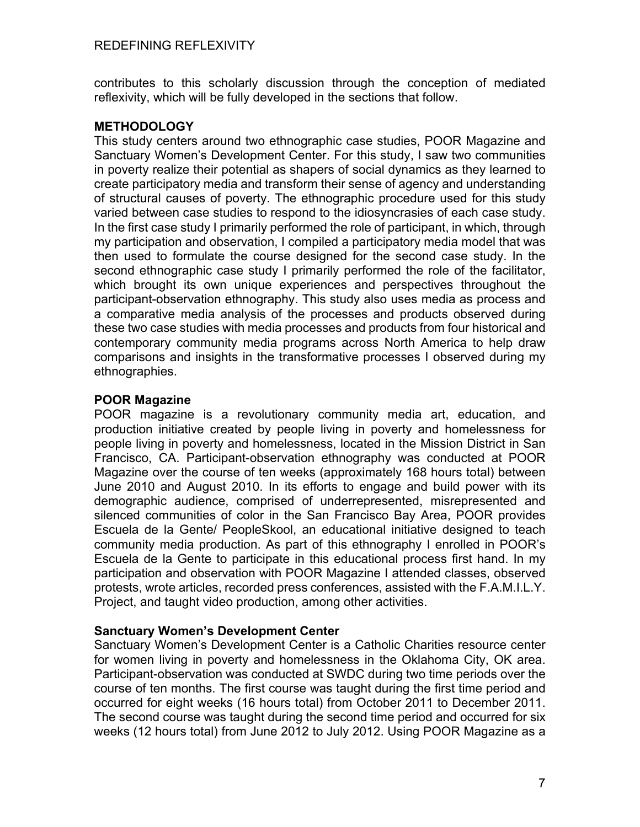contributes to this scholarly discussion through the conception of mediated reflexivity, which will be fully developed in the sections that follow.

## **METHODOLOGY**

This study centers around two ethnographic case studies, POOR Magazine and Sanctuary Women's Development Center. For this study, I saw two communities in poverty realize their potential as shapers of social dynamics as they learned to create participatory media and transform their sense of agency and understanding of structural causes of poverty. The ethnographic procedure used for this study varied between case studies to respond to the idiosyncrasies of each case study. In the first case study I primarily performed the role of participant, in which, through my participation and observation, I compiled a participatory media model that was then used to formulate the course designed for the second case study. In the second ethnographic case study I primarily performed the role of the facilitator, which brought its own unique experiences and perspectives throughout the participant-observation ethnography. This study also uses media as process and a comparative media analysis of the processes and products observed during these two case studies with media processes and products from four historical and contemporary community media programs across North America to help draw comparisons and insights in the transformative processes I observed during my ethnographies.

## **POOR Magazine**

POOR magazine is a revolutionary community media art, education, and production initiative created by people living in poverty and homelessness for people living in poverty and homelessness, located in the Mission District in San Francisco, CA. Participant-observation ethnography was conducted at POOR Magazine over the course of ten weeks (approximately 168 hours total) between June 2010 and August 2010. In its efforts to engage and build power with its demographic audience, comprised of underrepresented, misrepresented and silenced communities of color in the San Francisco Bay Area, POOR provides Escuela de la Gente/ PeopleSkool, an educational initiative designed to teach community media production. As part of this ethnography I enrolled in POOR's Escuela de la Gente to participate in this educational process first hand. In my participation and observation with POOR Magazine I attended classes, observed protests, wrote articles, recorded press conferences, assisted with the F.A.M.I.L.Y. Project, and taught video production, among other activities.

### **Sanctuary Women's Development Center**

Sanctuary Women's Development Center is a Catholic Charities resource center for women living in poverty and homelessness in the Oklahoma City, OK area. Participant-observation was conducted at SWDC during two time periods over the course of ten months. The first course was taught during the first time period and occurred for eight weeks (16 hours total) from October 2011 to December 2011. The second course was taught during the second time period and occurred for six weeks (12 hours total) from June 2012 to July 2012. Using POOR Magazine as a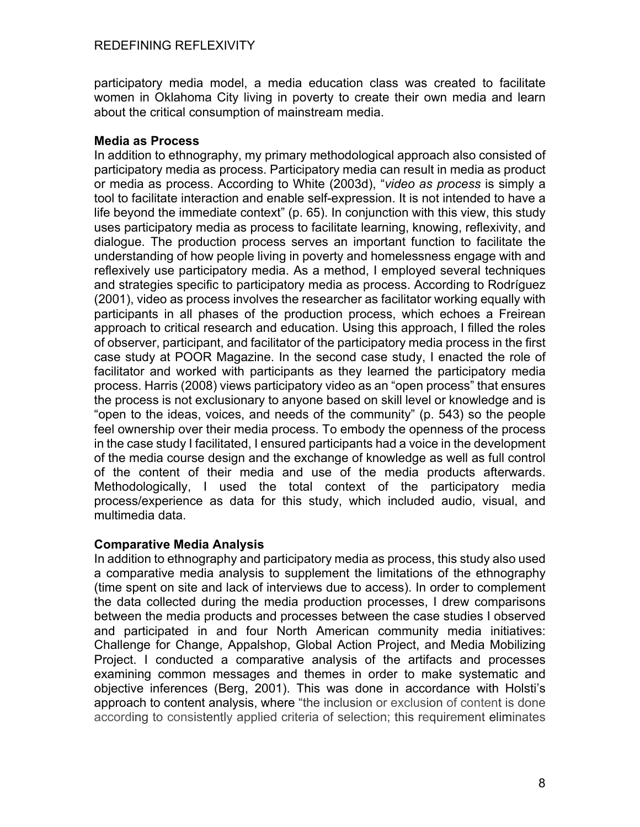participatory media model, a media education class was created to facilitate women in Oklahoma City living in poverty to create their own media and learn about the critical consumption of mainstream media.

## **Media as Process**

In addition to ethnography, my primary methodological approach also consisted of participatory media as process. Participatory media can result in media as product or media as process. According to White (2003d), "*video as process* is simply a tool to facilitate interaction and enable self-expression. It is not intended to have a life beyond the immediate context" (p. 65). In conjunction with this view, this study uses participatory media as process to facilitate learning, knowing, reflexivity, and dialogue. The production process serves an important function to facilitate the understanding of how people living in poverty and homelessness engage with and reflexively use participatory media. As a method, I employed several techniques and strategies specific to participatory media as process. According to Rodríguez (2001), video as process involves the researcher as facilitator working equally with participants in all phases of the production process, which echoes a Freirean approach to critical research and education. Using this approach, I filled the roles of observer, participant, and facilitator of the participatory media process in the first case study at POOR Magazine. In the second case study, I enacted the role of facilitator and worked with participants as they learned the participatory media process. Harris (2008) views participatory video as an "open process" that ensures the process is not exclusionary to anyone based on skill level or knowledge and is "open to the ideas, voices, and needs of the community" (p. 543) so the people feel ownership over their media process. To embody the openness of the process in the case study I facilitated, I ensured participants had a voice in the development of the media course design and the exchange of knowledge as well as full control of the content of their media and use of the media products afterwards. Methodologically, I used the total context of the participatory media process/experience as data for this study, which included audio, visual, and multimedia data.

### **Comparative Media Analysis**

In addition to ethnography and participatory media as process, this study also used a comparative media analysis to supplement the limitations of the ethnography (time spent on site and lack of interviews due to access). In order to complement the data collected during the media production processes, I drew comparisons between the media products and processes between the case studies I observed and participated in and four North American community media initiatives: Challenge for Change, Appalshop, Global Action Project, and Media Mobilizing Project. I conducted a comparative analysis of the artifacts and processes examining common messages and themes in order to make systematic and objective inferences (Berg, 2001). This was done in accordance with Holsti's approach to content analysis, where "the inclusion or exclusion of content is done according to consistently applied criteria of selection; this requirement eliminates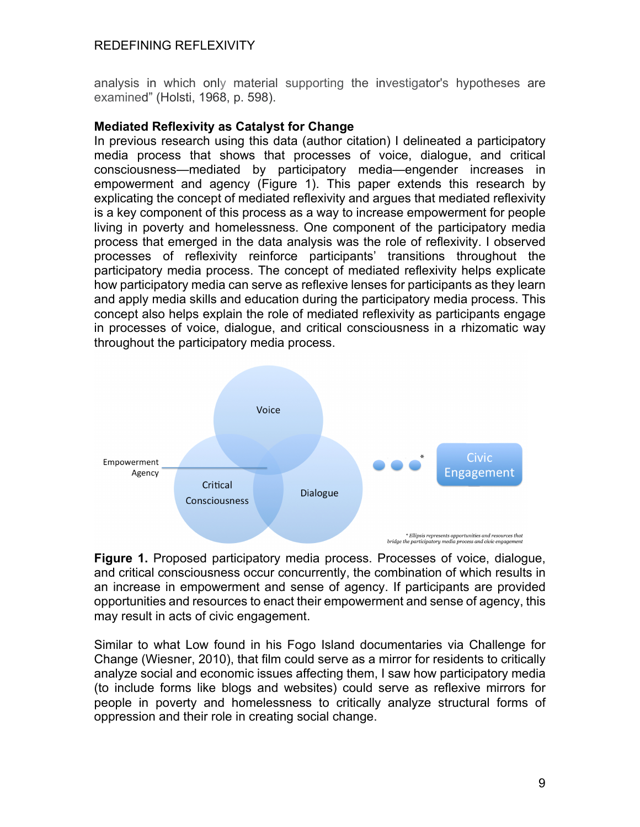analysis in which only material supporting the investigator's hypotheses are examined" (Holsti, 1968, p. 598).

#### **Mediated Reflexivity as Catalyst for Change**

In previous research using this data (author citation) I delineated a participatory media process that shows that processes of voice, dialogue, and critical consciousness—mediated by participatory media—engender increases in empowerment and agency (Figure 1). This paper extends this research by explicating the concept of mediated reflexivity and argues that mediated reflexivity is a key component of this process as a way to increase empowerment for people living in poverty and homelessness. One component of the participatory media process that emerged in the data analysis was the role of reflexivity. I observed processes of reflexivity reinforce participants' transitions throughout the participatory media process. The concept of mediated reflexivity helps explicate how participatory media can serve as reflexive lenses for participants as they learn and apply media skills and education during the participatory media process. This concept also helps explain the role of mediated reflexivity as participants engage in processes of voice, dialogue, and critical consciousness in a rhizomatic way throughout the participatory media process.



**Figure 1.** Proposed participatory media process. Processes of voice, dialogue, and critical consciousness occur concurrently, the combination of which results in an increase in empowerment and sense of agency. If participants are provided opportunities and resources to enact their empowerment and sense of agency, this may result in acts of civic engagement.

Similar to what Low found in his Fogo Island documentaries via Challenge for Change (Wiesner, 2010), that film could serve as a mirror for residents to critically analyze social and economic issues affecting them, I saw how participatory media (to include forms like blogs and websites) could serve as reflexive mirrors for people in poverty and homelessness to critically analyze structural forms of oppression and their role in creating social change.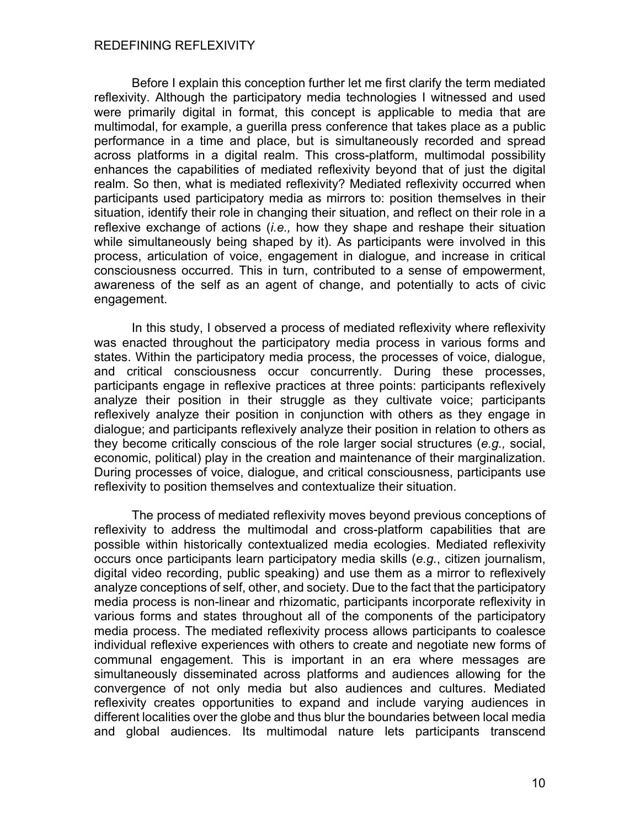Before I explain this conception further let me first clarify the term mediated reflexivity. Although the participatory media technologies I witnessed and used were primarily digital in format, this concept is applicable to media that are multimodal, for example, a guerilla press conference that takes place as a public performance in a time and place, but is simultaneously recorded and spread across platforms in a digital realm. This cross-platform, multimodal possibility enhances the capabilities of mediated reflexivity beyond that of just the digital realm. So then, what is mediated reflexivity? Mediated reflexivity occurred when participants used participatory media as mirrors to: position themselves in their situation, identify their role in changing their situation, and reflect on their role in a reflexive exchange of actions (*i.e.,* how they shape and reshape their situation while simultaneously being shaped by it). As participants were involved in this process, articulation of voice, engagement in dialogue, and increase in critical consciousness occurred. This in turn, contributed to a sense of empowerment, awareness of the self as an agent of change, and potentially to acts of civic engagement.

In this study, I observed a process of mediated reflexivity where reflexivity was enacted throughout the participatory media process in various forms and states. Within the participatory media process, the processes of voice, dialogue, and critical consciousness occur concurrently. During these processes, participants engage in reflexive practices at three points: participants reflexively analyze their position in their struggle as they cultivate voice; participants reflexively analyze their position in conjunction with others as they engage in dialogue; and participants reflexively analyze their position in relation to others as they become critically conscious of the role larger social structures (*e.g.,* social, economic, political) play in the creation and maintenance of their marginalization. During processes of voice, dialogue, and critical consciousness, participants use reflexivity to position themselves and contextualize their situation.

The process of mediated reflexivity moves beyond previous conceptions of reflexivity to address the multimodal and cross-platform capabilities that are possible within historically contextualized media ecologies. Mediated reflexivity occurs once participants learn participatory media skills (*e.g.*, citizen journalism, digital video recording, public speaking) and use them as a mirror to reflexively analyze conceptions of self, other, and society. Due to the fact that the participatory media process is non-linear and rhizomatic, participants incorporate reflexivity in various forms and states throughout all of the components of the participatory media process. The mediated reflexivity process allows participants to coalesce individual reflexive experiences with others to create and negotiate new forms of communal engagement. This is important in an era where messages are simultaneously disseminated across platforms and audiences allowing for the convergence of not only media but also audiences and cultures. Mediated reflexivity creates opportunities to expand and include varying audiences in different localities over the globe and thus blur the boundaries between local media and global audiences. Its multimodal nature lets participants transcend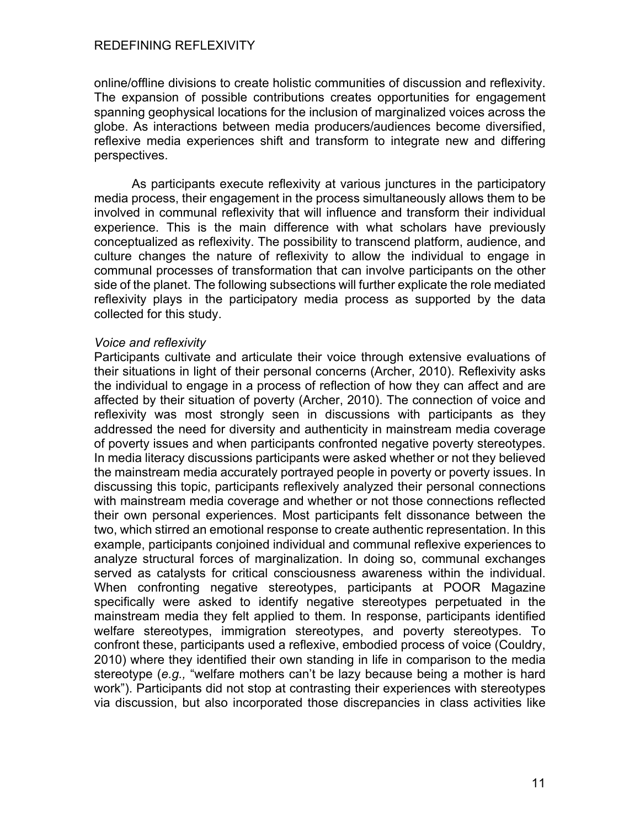online/offline divisions to create holistic communities of discussion and reflexivity. The expansion of possible contributions creates opportunities for engagement spanning geophysical locations for the inclusion of marginalized voices across the globe. As interactions between media producers/audiences become diversified, reflexive media experiences shift and transform to integrate new and differing perspectives.

As participants execute reflexivity at various junctures in the participatory media process, their engagement in the process simultaneously allows them to be involved in communal reflexivity that will influence and transform their individual experience. This is the main difference with what scholars have previously conceptualized as reflexivity. The possibility to transcend platform, audience, and culture changes the nature of reflexivity to allow the individual to engage in communal processes of transformation that can involve participants on the other side of the planet. The following subsections will further explicate the role mediated reflexivity plays in the participatory media process as supported by the data collected for this study.

#### *Voice and reflexivity*

Participants cultivate and articulate their voice through extensive evaluations of their situations in light of their personal concerns (Archer, 2010). Reflexivity asks the individual to engage in a process of reflection of how they can affect and are affected by their situation of poverty (Archer, 2010). The connection of voice and reflexivity was most strongly seen in discussions with participants as they addressed the need for diversity and authenticity in mainstream media coverage of poverty issues and when participants confronted negative poverty stereotypes. In media literacy discussions participants were asked whether or not they believed the mainstream media accurately portrayed people in poverty or poverty issues. In discussing this topic, participants reflexively analyzed their personal connections with mainstream media coverage and whether or not those connections reflected their own personal experiences. Most participants felt dissonance between the two, which stirred an emotional response to create authentic representation. In this example, participants conjoined individual and communal reflexive experiences to analyze structural forces of marginalization. In doing so, communal exchanges served as catalysts for critical consciousness awareness within the individual. When confronting negative stereotypes, participants at POOR Magazine specifically were asked to identify negative stereotypes perpetuated in the mainstream media they felt applied to them. In response, participants identified welfare stereotypes, immigration stereotypes, and poverty stereotypes. To confront these, participants used a reflexive, embodied process of voice (Couldry, 2010) where they identified their own standing in life in comparison to the media stereotype (*e.g.,* "welfare mothers can't be lazy because being a mother is hard work"). Participants did not stop at contrasting their experiences with stereotypes via discussion, but also incorporated those discrepancies in class activities like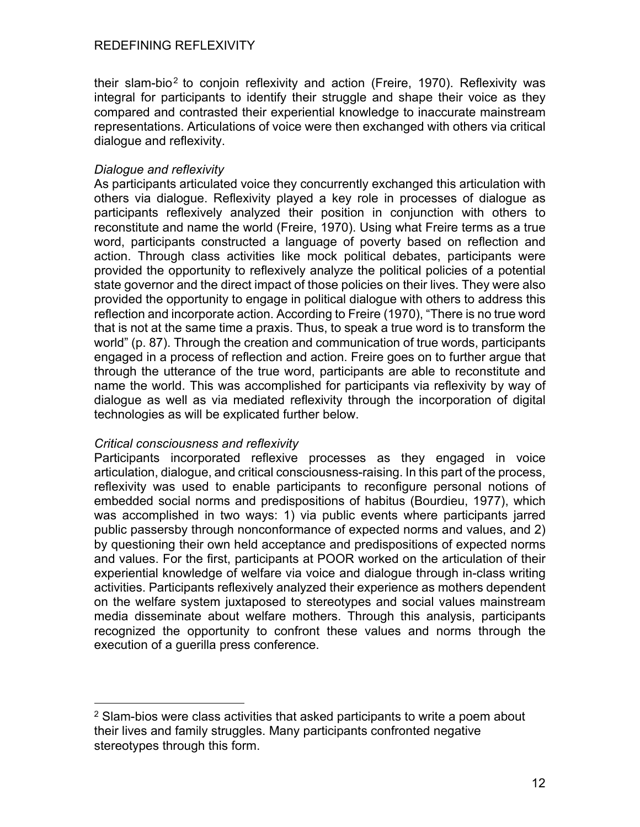their slam-bio<sup>2</sup> to conjoin reflexivity and action (Freire, 1970). Reflexivity was integral for participants to identify their struggle and shape their voice as they compared and contrasted their experiential knowledge to inaccurate mainstream representations. Articulations of voice were then exchanged with others via critical dialogue and reflexivity.

## *Dialogue and reflexivity*

As participants articulated voice they concurrently exchanged this articulation with others via dialogue. Reflexivity played a key role in processes of dialogue as participants reflexively analyzed their position in conjunction with others to reconstitute and name the world (Freire, 1970). Using what Freire terms as a true word, participants constructed a language of poverty based on reflection and action. Through class activities like mock political debates, participants were provided the opportunity to reflexively analyze the political policies of a potential state governor and the direct impact of those policies on their lives. They were also provided the opportunity to engage in political dialogue with others to address this reflection and incorporate action. According to Freire (1970), "There is no true word that is not at the same time a praxis. Thus, to speak a true word is to transform the world" (p. 87). Through the creation and communication of true words, participants engaged in a process of reflection and action. Freire goes on to further argue that through the utterance of the true word, participants are able to reconstitute and name the world. This was accomplished for participants via reflexivity by way of dialogue as well as via mediated reflexivity through the incorporation of digital technologies as will be explicated further below.

### *Critical consciousness and reflexivity*

Participants incorporated reflexive processes as they engaged in voice articulation, dialogue, and critical consciousness-raising. In this part of the process, reflexivity was used to enable participants to reconfigure personal notions of embedded social norms and predispositions of habitus (Bourdieu, 1977), which was accomplished in two ways: 1) via public events where participants jarred public passersby through nonconformance of expected norms and values, and 2) by questioning their own held acceptance and predispositions of expected norms and values. For the first, participants at POOR worked on the articulation of their experiential knowledge of welfare via voice and dialogue through in-class writing activities. Participants reflexively analyzed their experience as mothers dependent on the welfare system juxtaposed to stereotypes and social values mainstream media disseminate about welfare mothers. Through this analysis, participants recognized the opportunity to confront these values and norms through the execution of a guerilla press conference.

 $2$  Slam-bios were class activities that asked participants to write a poem about their lives and family struggles. Many participants confronted negative stereotypes through this form.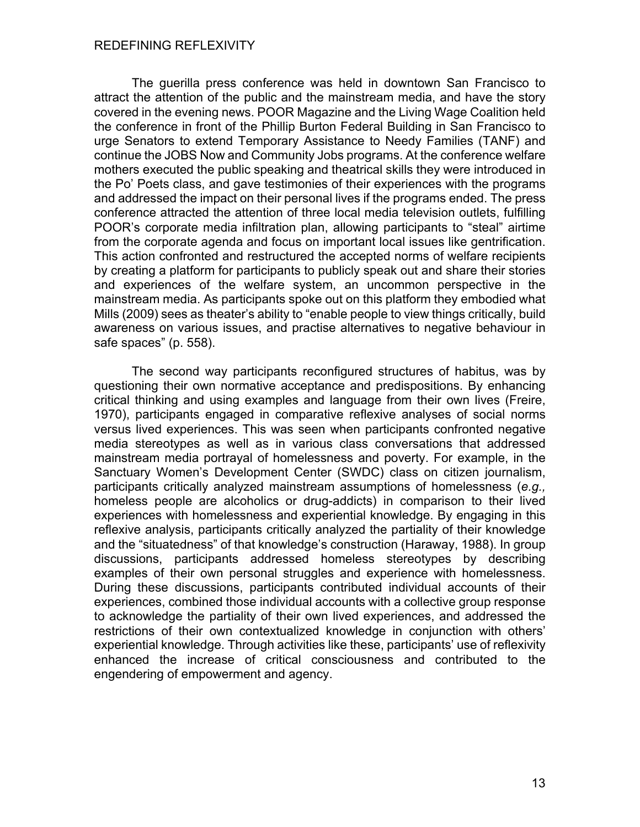The guerilla press conference was held in downtown San Francisco to attract the attention of the public and the mainstream media, and have the story covered in the evening news. POOR Magazine and the Living Wage Coalition held the conference in front of the Phillip Burton Federal Building in San Francisco to urge Senators to extend Temporary Assistance to Needy Families (TANF) and continue the JOBS Now and Community Jobs programs. At the conference welfare mothers executed the public speaking and theatrical skills they were introduced in the Po' Poets class, and gave testimonies of their experiences with the programs and addressed the impact on their personal lives if the programs ended. The press conference attracted the attention of three local media television outlets, fulfilling POOR's corporate media infiltration plan, allowing participants to "steal" airtime from the corporate agenda and focus on important local issues like gentrification. This action confronted and restructured the accepted norms of welfare recipients by creating a platform for participants to publicly speak out and share their stories and experiences of the welfare system, an uncommon perspective in the mainstream media. As participants spoke out on this platform they embodied what Mills (2009) sees as theater's ability to "enable people to view things critically, build awareness on various issues, and practise alternatives to negative behaviour in safe spaces" (p. 558).

The second way participants reconfigured structures of habitus, was by questioning their own normative acceptance and predispositions. By enhancing critical thinking and using examples and language from their own lives (Freire, 1970), participants engaged in comparative reflexive analyses of social norms versus lived experiences. This was seen when participants confronted negative media stereotypes as well as in various class conversations that addressed mainstream media portrayal of homelessness and poverty. For example, in the Sanctuary Women's Development Center (SWDC) class on citizen journalism, participants critically analyzed mainstream assumptions of homelessness (*e.g.,* homeless people are alcoholics or drug-addicts) in comparison to their lived experiences with homelessness and experiential knowledge. By engaging in this reflexive analysis, participants critically analyzed the partiality of their knowledge and the "situatedness" of that knowledge's construction (Haraway, 1988). In group discussions, participants addressed homeless stereotypes by describing examples of their own personal struggles and experience with homelessness. During these discussions, participants contributed individual accounts of their experiences, combined those individual accounts with a collective group response to acknowledge the partiality of their own lived experiences, and addressed the restrictions of their own contextualized knowledge in conjunction with others' experiential knowledge. Through activities like these, participants' use of reflexivity enhanced the increase of critical consciousness and contributed to the engendering of empowerment and agency.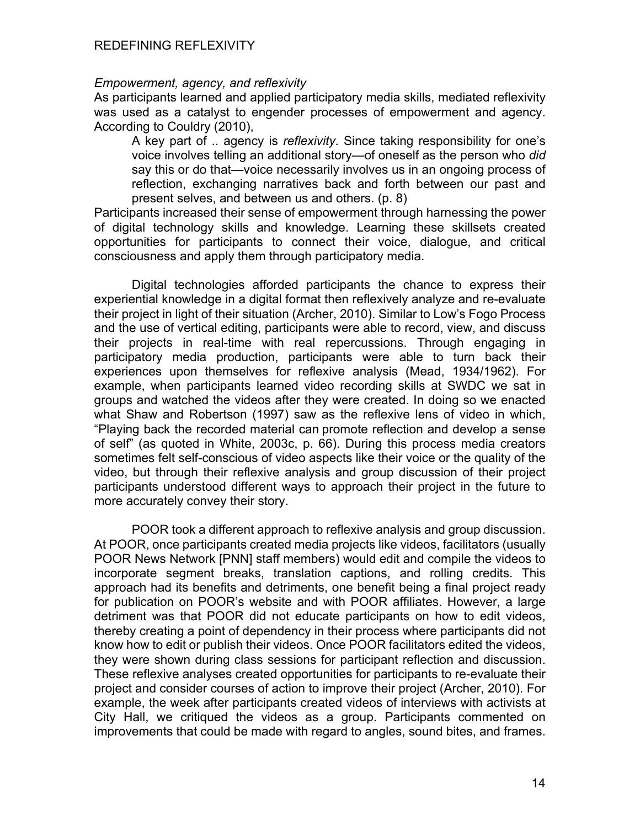### *Empowerment, agency, and reflexivity*

As participants learned and applied participatory media skills, mediated reflexivity was used as a catalyst to engender processes of empowerment and agency. According to Couldry (2010),

A key part of .. agency is *reflexivity*. Since taking responsibility for one's voice involves telling an additional story—of oneself as the person who *did* say this or do that—voice necessarily involves us in an ongoing process of reflection, exchanging narratives back and forth between our past and present selves, and between us and others. (p. 8)

Participants increased their sense of empowerment through harnessing the power of digital technology skills and knowledge. Learning these skillsets created opportunities for participants to connect their voice, dialogue, and critical consciousness and apply them through participatory media.

Digital technologies afforded participants the chance to express their experiential knowledge in a digital format then reflexively analyze and re-evaluate their project in light of their situation (Archer, 2010). Similar to Low's Fogo Process and the use of vertical editing, participants were able to record, view, and discuss their projects in real-time with real repercussions. Through engaging in participatory media production, participants were able to turn back their experiences upon themselves for reflexive analysis (Mead, 1934/1962). For example, when participants learned video recording skills at SWDC we sat in groups and watched the videos after they were created. In doing so we enacted what Shaw and Robertson (1997) saw as the reflexive lens of video in which, "Playing back the recorded material can promote reflection and develop a sense of self" (as quoted in White, 2003c, p. 66). During this process media creators sometimes felt self-conscious of video aspects like their voice or the quality of the video, but through their reflexive analysis and group discussion of their project participants understood different ways to approach their project in the future to more accurately convey their story.

POOR took a different approach to reflexive analysis and group discussion. At POOR, once participants created media projects like videos, facilitators (usually POOR News Network [PNN] staff members) would edit and compile the videos to incorporate segment breaks, translation captions, and rolling credits. This approach had its benefits and detriments, one benefit being a final project ready for publication on POOR's website and with POOR affiliates. However, a large detriment was that POOR did not educate participants on how to edit videos, thereby creating a point of dependency in their process where participants did not know how to edit or publish their videos. Once POOR facilitators edited the videos, they were shown during class sessions for participant reflection and discussion. These reflexive analyses created opportunities for participants to re-evaluate their project and consider courses of action to improve their project (Archer, 2010). For example, the week after participants created videos of interviews with activists at City Hall, we critiqued the videos as a group. Participants commented on improvements that could be made with regard to angles, sound bites, and frames.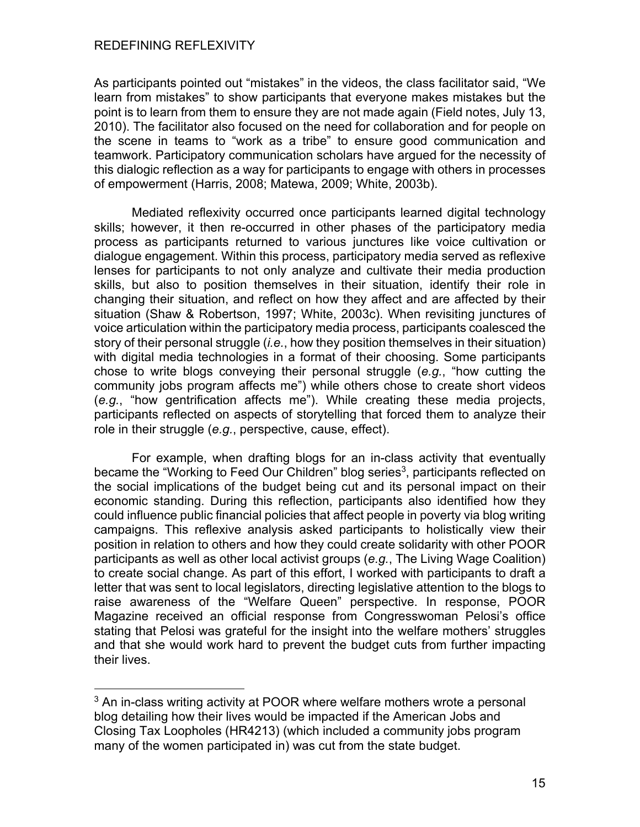As participants pointed out "mistakes" in the videos, the class facilitator said, "We learn from mistakes" to show participants that everyone makes mistakes but the point is to learn from them to ensure they are not made again (Field notes, July 13, 2010). The facilitator also focused on the need for collaboration and for people on the scene in teams to "work as a tribe" to ensure good communication and teamwork. Participatory communication scholars have argued for the necessity of this dialogic reflection as a way for participants to engage with others in processes of empowerment (Harris, 2008; Matewa, 2009; White, 2003b).

Mediated reflexivity occurred once participants learned digital technology skills; however, it then re-occurred in other phases of the participatory media process as participants returned to various junctures like voice cultivation or dialogue engagement. Within this process, participatory media served as reflexive lenses for participants to not only analyze and cultivate their media production skills, but also to position themselves in their situation, identify their role in changing their situation, and reflect on how they affect and are affected by their situation (Shaw & Robertson, 1997; White, 2003c). When revisiting junctures of voice articulation within the participatory media process, participants coalesced the story of their personal struggle (*i.e.*, how they position themselves in their situation) with digital media technologies in a format of their choosing. Some participants chose to write blogs conveying their personal struggle (*e.g.*, "how cutting the community jobs program affects me") while others chose to create short videos (*e.g.*, "how gentrification affects me"). While creating these media projects, participants reflected on aspects of storytelling that forced them to analyze their role in their struggle (*e.g.*, perspective, cause, effect).

For example, when drafting blogs for an in-class activity that eventually became the "Working to Feed Our Children" blog series<sup>3</sup>, participants reflected on the social implications of the budget being cut and its personal impact on their economic standing. During this reflection, participants also identified how they could influence public financial policies that affect people in poverty via blog writing campaigns. This reflexive analysis asked participants to holistically view their position in relation to others and how they could create solidarity with other POOR participants as well as other local activist groups (*e.g.*, The Living Wage Coalition) to create social change. As part of this effort, I worked with participants to draft a letter that was sent to local legislators, directing legislative attention to the blogs to raise awareness of the "Welfare Queen" perspective. In response, POOR Magazine received an official response from Congresswoman Pelosi's office stating that Pelosi was grateful for the insight into the welfare mothers' struggles and that she would work hard to prevent the budget cuts from further impacting their lives.

<sup>&</sup>lt;sup>3</sup> An in-class writing activity at POOR where welfare mothers wrote a personal blog detailing how their lives would be impacted if the American Jobs and Closing Tax Loopholes (HR4213) (which included a community jobs program many of the women participated in) was cut from the state budget.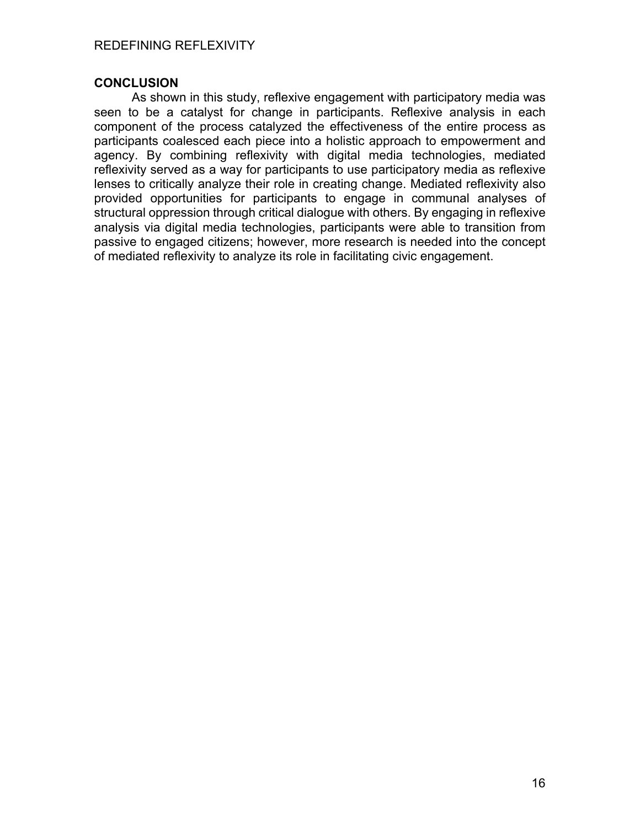## **CONCLUSION**

As shown in this study, reflexive engagement with participatory media was seen to be a catalyst for change in participants. Reflexive analysis in each component of the process catalyzed the effectiveness of the entire process as participants coalesced each piece into a holistic approach to empowerment and agency. By combining reflexivity with digital media technologies, mediated reflexivity served as a way for participants to use participatory media as reflexive lenses to critically analyze their role in creating change. Mediated reflexivity also provided opportunities for participants to engage in communal analyses of structural oppression through critical dialogue with others. By engaging in reflexive analysis via digital media technologies, participants were able to transition from passive to engaged citizens; however, more research is needed into the concept of mediated reflexivity to analyze its role in facilitating civic engagement.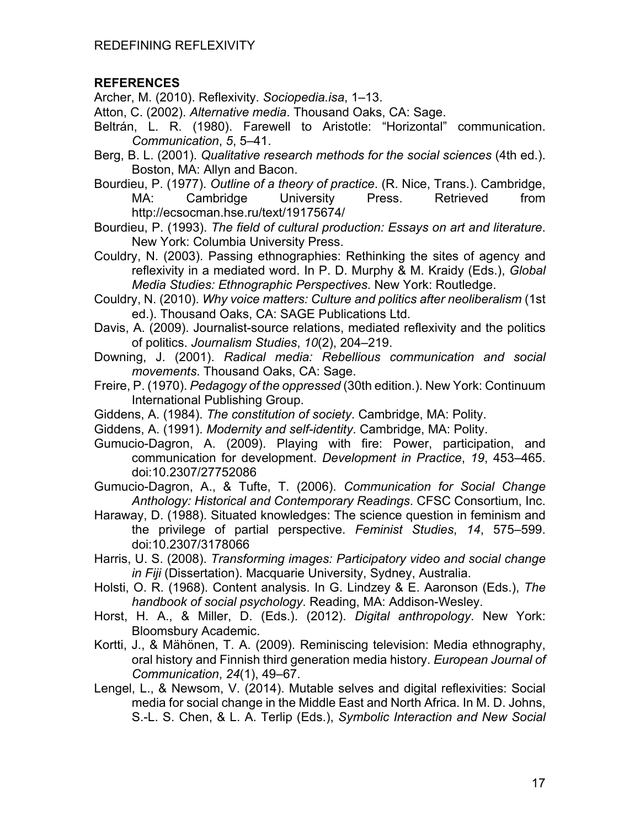# **REFERENCES**

Archer, M. (2010). Reflexivity. *Sociopedia.isa*, 1–13.

Atton, C. (2002). *Alternative media*. Thousand Oaks, CA: Sage.

- Beltrán, L. R. (1980). Farewell to Aristotle: "Horizontal" communication. *Communication*, *5*, 5–41.
- Berg, B. L. (2001). *Qualitative research methods for the social sciences* (4th ed.). Boston, MA: Allyn and Bacon.

Bourdieu, P. (1977). *Outline of a theory of practice*. (R. Nice, Trans.). Cambridge, MA: Cambridge University Press. Retrieved from http://ecsocman.hse.ru/text/19175674/

Bourdieu, P. (1993). *The field of cultural production: Essays on art and literature*. New York: Columbia University Press.

Couldry, N. (2003). Passing ethnographies: Rethinking the sites of agency and reflexivity in a mediated word. In P. D. Murphy & M. Kraidy (Eds.), *Global Media Studies: Ethnographic Perspectives*. New York: Routledge.

Couldry, N. (2010). *Why voice matters: Culture and politics after neoliberalism* (1st ed.). Thousand Oaks, CA: SAGE Publications Ltd.

Davis, A. (2009). Journalist-source relations, mediated reflexivity and the politics of politics. *Journalism Studies*, *10*(2), 204–219.

Downing, J. (2001). *Radical media: Rebellious communication and social movements*. Thousand Oaks, CA: Sage.

- Freire, P. (1970). *Pedagogy of the oppressed* (30th edition.). New York: Continuum International Publishing Group.
- Giddens, A. (1984). *The constitution of society*. Cambridge, MA: Polity.
- Giddens, A. (1991). *Modernity and self-identity*. Cambridge, MA: Polity.

Gumucio-Dagron, A. (2009). Playing with fire: Power, participation, and communication for development. *Development in Practice*, *19*, 453–465. doi:10.2307/27752086

Gumucio-Dagron, A., & Tufte, T. (2006). *Communication for Social Change Anthology: Historical and Contemporary Readings*. CFSC Consortium, Inc.

- Haraway, D. (1988). Situated knowledges: The science question in feminism and the privilege of partial perspective. *Feminist Studies*, *14*, 575–599. doi:10.2307/3178066
- Harris, U. S. (2008). *Transforming images: Participatory video and social change in Fiji* (Dissertation). Macquarie University, Sydney, Australia.
- Holsti, O. R. (1968). Content analysis. In G. Lindzey & E. Aaronson (Eds.), *The handbook of social psychology*. Reading, MA: Addison-Wesley.
- Horst, H. A., & Miller, D. (Eds.). (2012). *Digital anthropology*. New York: Bloomsbury Academic.
- Kortti, J., & Mähönen, T. A. (2009). Reminiscing television: Media ethnography, oral history and Finnish third generation media history. *European Journal of Communication*, *24*(1), 49–67.
- Lengel, L., & Newsom, V. (2014). Mutable selves and digital reflexivities: Social media for social change in the Middle East and North Africa. In M. D. Johns, S.-L. S. Chen, & L. A. Terlip (Eds.), *Symbolic Interaction and New Social*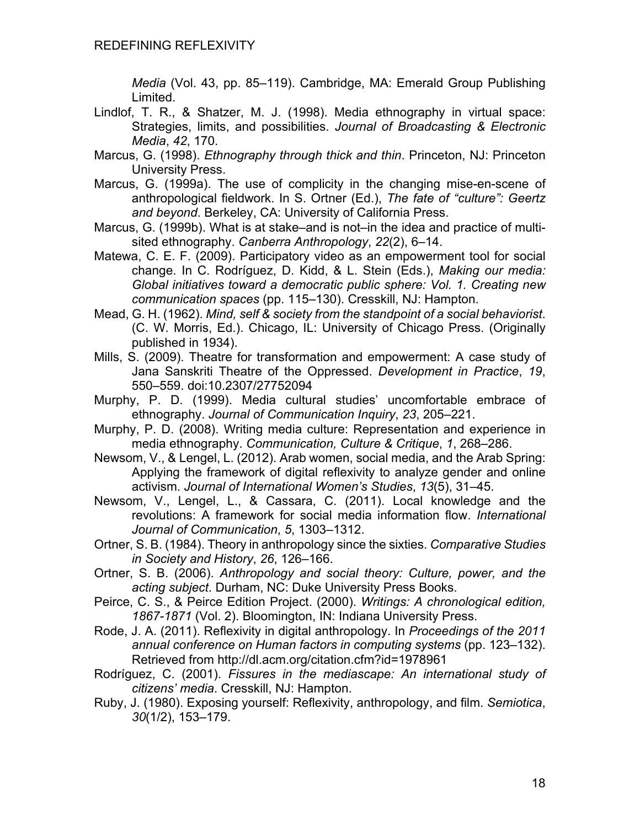*Media* (Vol. 43, pp. 85–119). Cambridge, MA: Emerald Group Publishing Limited.

- Lindlof, T. R., & Shatzer, M. J. (1998). Media ethnography in virtual space: Strategies, limits, and possibilities. *Journal of Broadcasting & Electronic Media*, *42*, 170.
- Marcus, G. (1998). *Ethnography through thick and thin*. Princeton, NJ: Princeton University Press.
- Marcus, G. (1999a). The use of complicity in the changing mise-en-scene of anthropological fieldwork. In S. Ortner (Ed.), *The fate of "culture": Geertz and beyond*. Berkeley, CA: University of California Press.
- Marcus, G. (1999b). What is at stake–and is not–in the idea and practice of multisited ethnography. *Canberra Anthropology*, *22*(2), 6–14.
- Matewa, C. E. F. (2009). Participatory video as an empowerment tool for social change. In C. Rodríguez, D. Kidd, & L. Stein (Eds.), *Making our media: Global initiatives toward a democratic public sphere: Vol. 1. Creating new communication spaces* (pp. 115–130). Cresskill, NJ: Hampton.
- Mead, G. H. (1962). *Mind, self & society from the standpoint of a social behaviorist*. (C. W. Morris, Ed.). Chicago, IL: University of Chicago Press. (Originally published in 1934).
- Mills, S. (2009). Theatre for transformation and empowerment: A case study of Jana Sanskriti Theatre of the Oppressed. *Development in Practice*, *19*, 550–559. doi:10.2307/27752094
- Murphy, P. D. (1999). Media cultural studies' uncomfortable embrace of ethnography. *Journal of Communication Inquiry*, *23*, 205–221.
- Murphy, P. D. (2008). Writing media culture: Representation and experience in media ethnography. *Communication, Culture & Critique*, *1*, 268–286.
- Newsom, V., & Lengel, L. (2012). Arab women, social media, and the Arab Spring: Applying the framework of digital reflexivity to analyze gender and online activism. *Journal of International Women's Studies*, *13*(5), 31–45.
- Newsom, V., Lengel, L., & Cassara, C. (2011). Local knowledge and the revolutions: A framework for social media information flow. *International Journal of Communication*, *5*, 1303–1312.
- Ortner, S. B. (1984). Theory in anthropology since the sixties. *Comparative Studies in Society and History*, *26*, 126–166.
- Ortner, S. B. (2006). *Anthropology and social theory: Culture, power, and the acting subject*. Durham, NC: Duke University Press Books.
- Peirce, C. S., & Peirce Edition Project. (2000). *Writings: A chronological edition, 1867-1871* (Vol. 2). Bloomington, IN: Indiana University Press.
- Rode, J. A. (2011). Reflexivity in digital anthropology. In *Proceedings of the 2011 annual conference on Human factors in computing systems* (pp. 123–132). Retrieved from http://dl.acm.org/citation.cfm?id=1978961
- Rodríguez, C. (2001). *Fissures in the mediascape: An international study of citizens' media*. Cresskill, NJ: Hampton.
- Ruby, J. (1980). Exposing yourself: Reflexivity, anthropology, and film. *Semiotica*, *30*(1/2), 153–179.